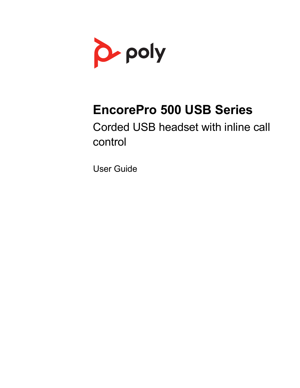

# **EncorePro 500 USB Series**

Corded USB headset with inline call control

User Guide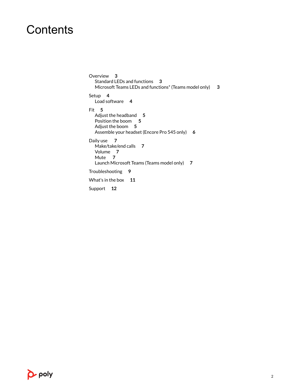### **Contents**

[Overview](#page-2-0) **3** [Standard LEDs and functions](#page-2-0) **3** [Microsoft Teams LEDs and functions\\* \(Teams model only\)](#page-2-0) **3** [Setup](#page-3-0) **4** [Load software](#page-3-0) **4** [Fit](#page-4-0) **5** [Adjust the headband](#page-4-0) **5** [Position the boom](#page-4-0) **5** [Adjust the boom](#page-4-0) **5** [Assemble your headset \(Encore Pro 545 only\)](#page-5-0) **6** [Daily use](#page-6-0) **7** [Make/take/end calls](#page-6-0) **7** [Volume](#page-6-0) **7** [Mute](#page-6-0) **7** [Launch Microsoft Teams \(Teams model only\)](#page-6-0) **7** [Troubleshooting](#page-8-0) **9** [What's in the box](#page-10-0) **11** [Support](#page-11-0) **12**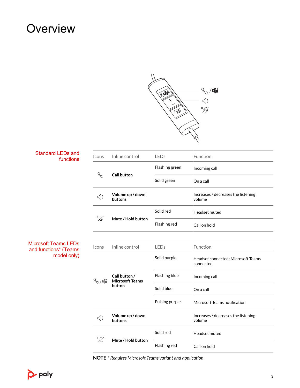## <span id="page-2-0"></span>**Overview**



| <b>Standard LEDs and</b><br>functions                        | Icons                     | Inline control                                    | LEDs           | Function                                        |
|--------------------------------------------------------------|---------------------------|---------------------------------------------------|----------------|-------------------------------------------------|
|                                                              |                           | <b>Call button</b>                                | Flashing green | Incoming call                                   |
|                                                              | $\mathcal{S}$             |                                                   | Solid green    | On a call                                       |
|                                                              | ⊲                         | Volume up / down<br>buttons                       |                | Increases / decreases the listening<br>volume   |
|                                                              | "VI                       | Mute / Hold button                                | Solid red      | Headset muted                                   |
|                                                              |                           |                                                   | Flashing red   | Call on hold                                    |
|                                                              |                           |                                                   |                |                                                 |
| Microsoft Teams LEDs<br>and functions* (Teams<br>model only) | Icons                     | Inline control                                    | <b>LEDs</b>    | Function                                        |
|                                                              | $\mathbb{Q}/\mathbb{G}$ i | Call button /<br><b>Microsoft Teams</b><br>button | Solid purple   | Headset connected; Microsoft Teams<br>connected |
|                                                              |                           |                                                   | Flashing blue  | Incoming call                                   |
|                                                              |                           |                                                   | Solid blue     | On a call                                       |
|                                                              |                           |                                                   | Pulsing purple | Microsoft Teams notification                    |
|                                                              | $\triangleleft$           | Volume up / down<br>buttons                       |                | Increases / decreases the listening<br>volume   |
|                                                              |                           |                                                   | Solid red      | Headset muted                                   |
|                                                              | "Ø                        | Mute / Hold button                                | Flashing red   | Call on hold                                    |

**NOTE** *\* Requires Microsoft Teams variant and application*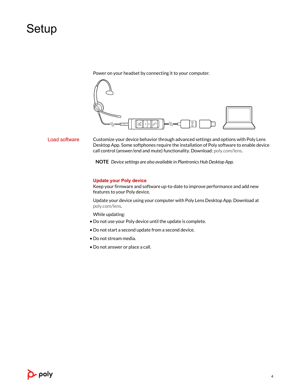## <span id="page-3-0"></span>**Setup**

Power on your headset by connecting it to your computer.



Load software

Customize your device behavior through advanced settings and options with Poly Lens Desktop App. Some softphones require the installation of Poly software to enable device call control (answer/end and mute) functionality. Download: [poly.com/lens.](http://www.poly.com/lens)

**NOTE** *Device settings are also available in Plantronics Hub Desktop App.*

#### **Update your Poly device**

Keep your firmware and software up-to-date to improve performance and add new features to your Poly device.

Update your device using your computer with Poly Lens Desktop App. Download at [poly.com/lens](http://www.poly.com/lens).

While updating:

- Do not use your Poly device until the update is complete.
- Do not start a second update from a second device.
- Do not stream media.
- Do not answer or place a call.

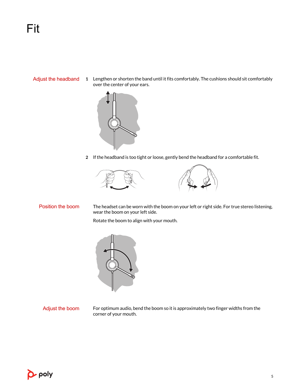<span id="page-4-0"></span>Adjust the headband

**1** Lengthen or shorten the band until it fits comfortably. The cushions should sit comfortably over the center of your ears.



**2** If the headband is too tight or loose, gently bend the headband for a comfortable fit.





#### Position the boom

The headset can be worn with the boom on your left or right side. For true stereo listening, wear the boom on your left side.

Rotate the boom to align with your mouth.



#### Adjust the boom

For optimum audio, bend the boom so it is approximately two finger widths from the corner of your mouth.

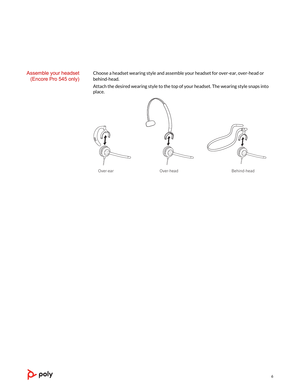#### <span id="page-5-0"></span>Assemble your headset (Encore Pro 545 only)

Choose a headset wearing style and assemble your headset for over-ear, over-head or behind-head.

Attach the desired wearing style to the top of your headset. The wearing style snaps into place.





Over-ear Cover-head Dover-head Behind-head

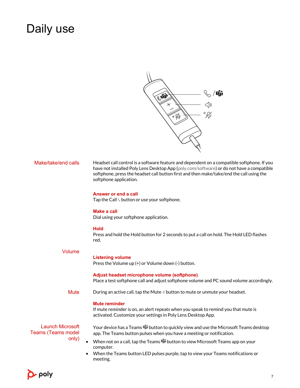# <span id="page-6-0"></span>Daily use



| Make/take/end calls                                           | Headset call control is a software feature and dependent on a compatible softphone. If you<br>have not installed Poly Lens Desktop App (poly.com/software) or do not have a compatible<br>softphone, press the headset call button first and then make/take/end the call using the<br>softphone application. |
|---------------------------------------------------------------|--------------------------------------------------------------------------------------------------------------------------------------------------------------------------------------------------------------------------------------------------------------------------------------------------------------|
|                                                               | Answer or end a call<br>Tap the Call \ button or use your softphone.                                                                                                                                                                                                                                         |
|                                                               | <b>Make a call</b><br>Dial using your softphone application.                                                                                                                                                                                                                                                 |
|                                                               | <b>Hold</b><br>Press and hold the Hold button for 2 seconds to put a call on hold. The Hold LED flashes<br>red.                                                                                                                                                                                              |
| <b>Volume</b>                                                 | <b>Listening volume</b><br>Press the Volume up (+) or Volume down (-) button.                                                                                                                                                                                                                                |
|                                                               | Adjust headset microphone volume (softphone)<br>Place a test softphone call and adjust softphone volume and PC sound volume accordingly.                                                                                                                                                                     |
| <b>Mute</b>                                                   | During an active call, tap the Mute $\oint$ button to mute or unmute your headset.                                                                                                                                                                                                                           |
|                                                               | <b>Mute reminder</b><br>If mute reminder is on, an alert repeats when you speak to remind you that mute is<br>activated. Customize your settings in Poly Lens Desktop App.                                                                                                                                   |
| <b>Launch Microsoft</b><br><b>Teams (Teams model</b><br>only) | Your device has a Teams <b>U</b> button to quickly view and use the Microsoft Teams desktop<br>app. The Teams button pulses when you have a meeting or notification.                                                                                                                                         |
|                                                               | When not on a call, tap the Teams <b>D</b> i button to view Microsoft Teams app on your<br>computer.                                                                                                                                                                                                         |
|                                                               | When the Teams button LED pulses purple, tap to view your Teams notifications or<br>meeting.                                                                                                                                                                                                                 |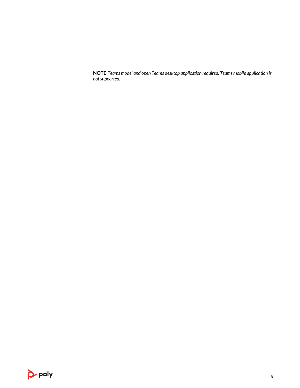**NOTE** *Teams model and open Teams desktop application required. Teams mobile application is not supported.*

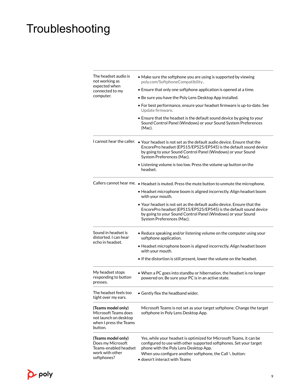## <span id="page-8-0"></span>Troubleshooting

| The headset audio is<br>not working as<br>expected when<br>connected to my<br>computer.                  | • Make sure the softphone you are using is supported by viewing<br>poly.com/SoftphoneCompatibility.                                                                                                                                                                |  |  |  |  |
|----------------------------------------------------------------------------------------------------------|--------------------------------------------------------------------------------------------------------------------------------------------------------------------------------------------------------------------------------------------------------------------|--|--|--|--|
|                                                                                                          | • Ensure that only one softphone application is opened at a time.                                                                                                                                                                                                  |  |  |  |  |
|                                                                                                          | • Be sure you have the Poly Lens Desktop App installed.                                                                                                                                                                                                            |  |  |  |  |
|                                                                                                          | • For best performance, ensure your headset firmware is up-to-date. See<br>Update firmware.                                                                                                                                                                        |  |  |  |  |
|                                                                                                          | • Ensure that the headset is the default sound device by going to your<br>Sound Control Panel (Windows) or your Sound System Preferences<br>(Mac).                                                                                                                 |  |  |  |  |
|                                                                                                          | I cannot hear the caller. . Your headset is not set as the default audio device. Ensure that the<br>EncorePro headset (EP515/EP525/EP545) is the default sound device<br>by going to your Sound Control Panel (Windows) or your Sound<br>System Preferences (Mac). |  |  |  |  |
|                                                                                                          | • Listening volume is too low. Press the volume up button on the<br>headset.                                                                                                                                                                                       |  |  |  |  |
|                                                                                                          | Callers cannot hear me. • Headset is muted. Press the mute button to unmute the microphone.                                                                                                                                                                        |  |  |  |  |
|                                                                                                          | • Headset microphone boom is aligned incorrectly. Align headset boom<br>with your mouth.                                                                                                                                                                           |  |  |  |  |
|                                                                                                          | $\bullet$ Your headset is not set as the default audio device. Ensure that the<br>EncorePro headset (EP515/EP525/EP545) is the default sound device<br>by going to your Sound Control Panel (Windows) or your Sound<br>System Preferences (Mac).                   |  |  |  |  |
| Sound in headset is<br>distorted. I can hear<br>echo in headset.                                         | • Reduce speaking and/or listening volume on the computer using your<br>softphone application.                                                                                                                                                                     |  |  |  |  |
|                                                                                                          | • Headset microphone boom is aligned incorrectly. Align headset boom<br>with your mouth.                                                                                                                                                                           |  |  |  |  |
|                                                                                                          | • If the distortion is still present, lower the volume on the headset.                                                                                                                                                                                             |  |  |  |  |
| My headset stops<br>responding to button<br>presses.                                                     | • When a PC goes into standby or hibernation, the headset is no longer<br>powered on. Be sure your PC is in an active state.                                                                                                                                       |  |  |  |  |
| The headset feels too<br>tight over my ears.                                                             | Gently flex the headband wider.                                                                                                                                                                                                                                    |  |  |  |  |
| (Teams model only)<br>Microsoft Teams does<br>not launch on desktop<br>when I press the Teams<br>button. | Microsoft Teams is not set as your target softphone. Change the target<br>softphone in Poly Lens Desktop App.                                                                                                                                                      |  |  |  |  |
| (Teams model only)<br>Does my Microsoft<br>Teams-enabled headset<br>work with other                      | Yes, while your headset is optimized for Microsoft Teams, it can be<br>configured to use with other supported softphones. Set your target<br>phone with the Poly Lens Desktop App.<br>When you configure another softphone, the Call \ button:                     |  |  |  |  |
| softphones?                                                                                              | $\bullet$ doesn't interact with Teams                                                                                                                                                                                                                              |  |  |  |  |

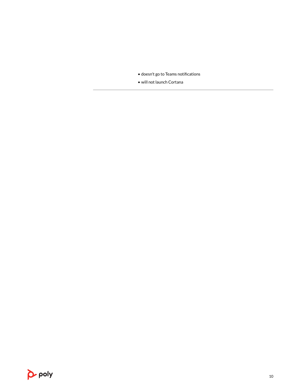• doesn't go to Teams notifications

• will not launch Cortana

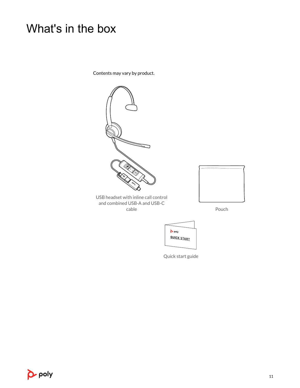## <span id="page-10-0"></span>What's in the box

Contents may vary by product.



Quick start guide